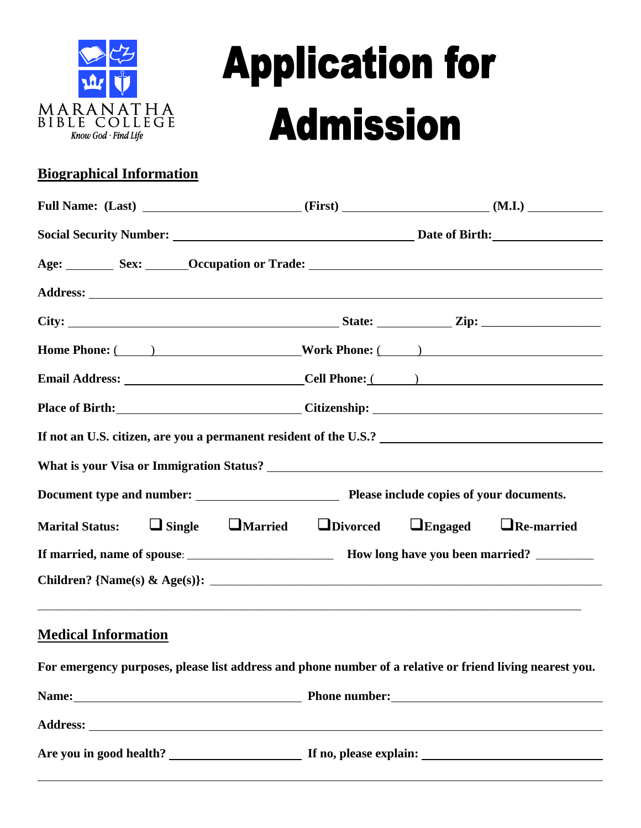

# **Application for Admission**

#### **Biographical Information**

| Age: Sex: Cocupation or Trade: Cocupation of Trade:                                           |  |  |
|-----------------------------------------------------------------------------------------------|--|--|
|                                                                                               |  |  |
|                                                                                               |  |  |
| Home Phone: ( ) Work Phone: ( )                                                               |  |  |
|                                                                                               |  |  |
| Place of Birth: Citizenship: Citizenship:                                                     |  |  |
|                                                                                               |  |  |
|                                                                                               |  |  |
|                                                                                               |  |  |
| Marital Status: $\Box$ Single $\Box$ Married $\Box$ Divorced $\Box$ Engaged $\Box$ Re-married |  |  |
|                                                                                               |  |  |
|                                                                                               |  |  |
|                                                                                               |  |  |

#### **Medical Information**

|                         | For emergency purposes, please list address and phone number of a relative or friend living nearest you. |
|-------------------------|----------------------------------------------------------------------------------------------------------|
|                         |                                                                                                          |
|                         |                                                                                                          |
| Are you in good health? | If no, please explain:                                                                                   |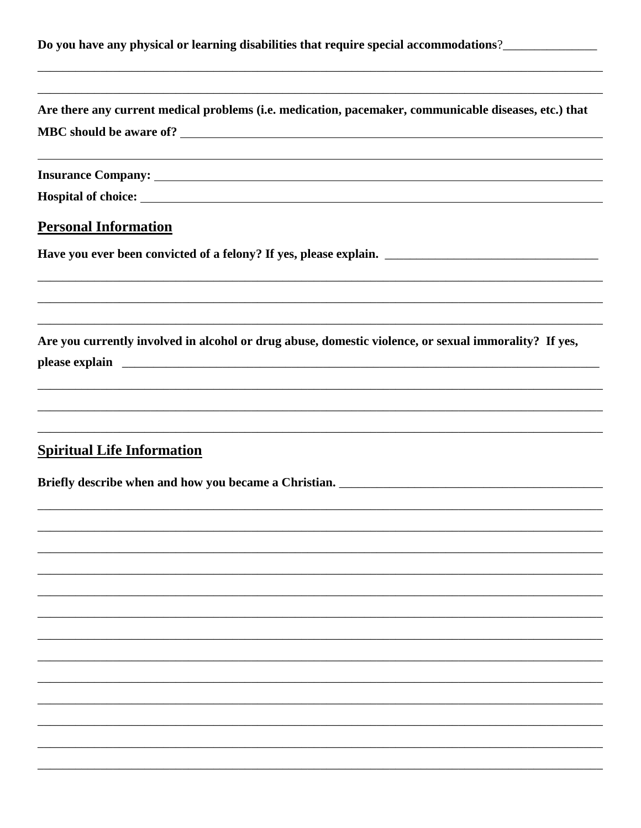|  |  | Do you have any physical or learning disabilities that require special accommodations?_ |  |
|--|--|-----------------------------------------------------------------------------------------|--|
|  |  |                                                                                         |  |

| Are there any current medical problems (i.e. medication, pacemaker, communicable diseases, etc.) that                                                                                                                                                                                                                                  |
|----------------------------------------------------------------------------------------------------------------------------------------------------------------------------------------------------------------------------------------------------------------------------------------------------------------------------------------|
|                                                                                                                                                                                                                                                                                                                                        |
|                                                                                                                                                                                                                                                                                                                                        |
| <b>Personal Information</b>                                                                                                                                                                                                                                                                                                            |
|                                                                                                                                                                                                                                                                                                                                        |
| Are you currently involved in alcohol or drug abuse, domestic violence, or sexual immorality? If yes,<br>please explain explain and the set of the set of the set of the set of the set of the set of the set of the set of the set of the set of the set of the set of the set of the set of the set of the set of the set of the set |
| <b>Spiritual Life Information</b>                                                                                                                                                                                                                                                                                                      |
|                                                                                                                                                                                                                                                                                                                                        |
|                                                                                                                                                                                                                                                                                                                                        |
|                                                                                                                                                                                                                                                                                                                                        |
|                                                                                                                                                                                                                                                                                                                                        |
|                                                                                                                                                                                                                                                                                                                                        |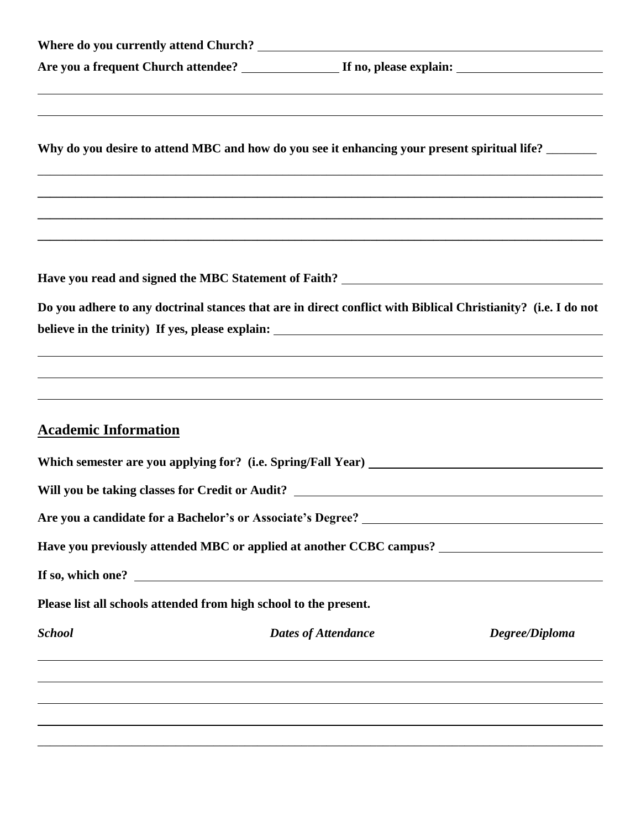|                                                                                   |                            | Why do you desire to attend MBC and how do you see it enhancing your present spiritual life?<br>,我们也不能在这里的时候,我们也不能在这里的时候,我们也不能会在这里的时候,我们也不能会在这里的时候,我们也不能会在这里的时候,我们也不能会在这里的时候,我们也不 |
|-----------------------------------------------------------------------------------|----------------------------|-----------------------------------------------------------------------------------------------------------------------------------------------------------------------------------|
|                                                                                   |                            | ,我们也不会有什么。""我们的人,我们也不会有什么?""我们的人,我们也不会有什么?""我们的人,我们也不会有什么?""我们的人,我们也不会有什么?""我们的人                                                                                                  |
|                                                                                   |                            |                                                                                                                                                                                   |
|                                                                                   |                            | Do you adhere to any doctrinal stances that are in direct conflict with Biblical Christianity? (i.e. I do not                                                                     |
|                                                                                   |                            |                                                                                                                                                                                   |
| <b>Academic Information</b>                                                       |                            |                                                                                                                                                                                   |
| Which semester are you applying for? (i.e. Spring/Fall Year) ____________________ |                            |                                                                                                                                                                                   |
|                                                                                   |                            |                                                                                                                                                                                   |
|                                                                                   |                            |                                                                                                                                                                                   |
|                                                                                   |                            |                                                                                                                                                                                   |
|                                                                                   |                            |                                                                                                                                                                                   |
| Please list all schools attended from high school to the present.                 |                            |                                                                                                                                                                                   |
| <b>School</b>                                                                     | <b>Dates of Attendance</b> | Degree/Diploma                                                                                                                                                                    |
|                                                                                   |                            | <u> 1989 - Jan Samuel Barbara, marka a shekara ta 1989 - An tsara tsa na shekara tsa na shekara tsa na shekara t</u>                                                              |
|                                                                                   |                            | ,我们也不会有什么。""我们的人,我们也不会有什么?""我们的人,我们也不会有什么?""我们的人,我们也不会有什么?""我们的人,我们也不会有什么?""我们的人                                                                                                  |
|                                                                                   |                            |                                                                                                                                                                                   |
|                                                                                   |                            |                                                                                                                                                                                   |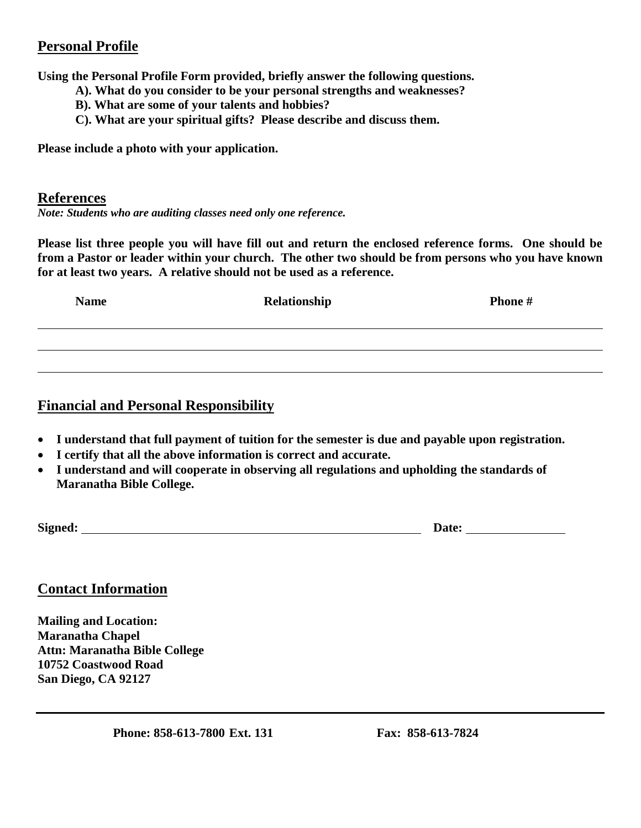#### **Personal Profile**

**Using the Personal Profile Form provided, briefly answer the following questions.** 

- **A). What do you consider to be your personal strengths and weaknesses?**
- **B). What are some of your talents and hobbies?**
- **C). What are your spiritual gifts? Please describe and discuss them.**

**Please include a photo with your application.** 

#### **References**

*Note: Students who are auditing classes need only one reference.* 

**Please list three people you will have fill out and return the enclosed reference forms. One should be from a Pastor or leader within your church. The other two should be from persons who you have known for at least two years. A relative should not be used as a reference.** 

| <b>Name</b> | Relationship | Phone # |
|-------------|--------------|---------|
|             |              |         |
|             |              |         |

#### **Financial and Personal Responsibility**

- **I understand that full payment of tuition for the semester is due and payable upon registration.**
- **I certify that all the above information is correct and accurate.**
- **I understand and will cooperate in observing all regulations and upholding the standards of Maranatha Bible College.**

**Signed: Date:** 

#### **Contact Information**

**Mailing and Location: Maranatha Chapel Attn: Maranatha Bible College 10752 Coastwood Road San Diego, CA 92127**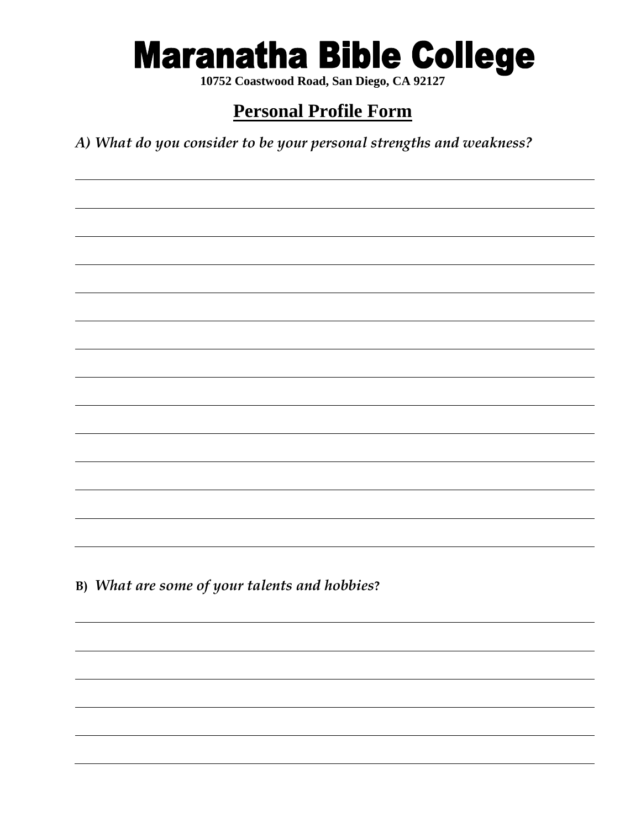## **Maranatha Bible College**

**10752 Coastwood Road, San Diego, CA 92127**

### **Personal Profile Form**

*A) What do you consider to be your personal strengths and weakness?*

**B)** *What are some of your talents and hobbies***?**